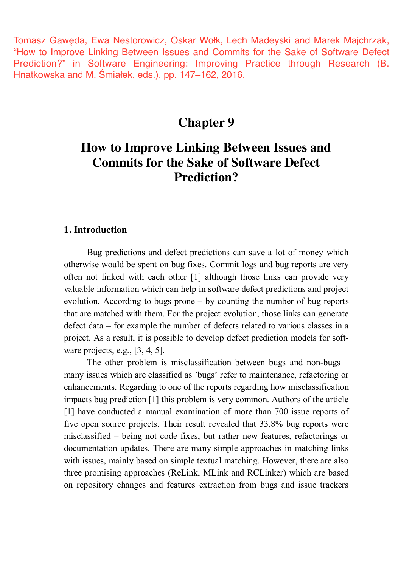Tomasz Gawęda, Ewa Nestorowicz, Oskar Wołk, Lech Madeyski and Marek Majchrzak, "How to Improve Linking Between Issues and Commits for the Sake of Software Defect Prediction?" in Software Engineering: Improving Practice through Research (B. Hnatkowska and M. Śmiałek, eds.), pp. 147–162, 2016.

## **Chapter 9**

# **How to Improve Linking Between Issues and Commits for the Sake of Software Defect Prediction?**

## **1. Introduction**

Bug predictions and defect predictions can save a lot of money which otherwise would be spent on bug fixes. Commit logs and bug reports are very often not linked with each other [1] although those links can provide very valuable information which can help in software defect predictions and project evolution. According to bugs prone – by counting the number of bug reports that are matched with them. For the project evolution, those links can generate defect data – for example the number of defects related to various classes in a project. As a result, it is possible to develop defect prediction models for software projects, e.g., [3, 4, 5].

The other problem is misclassification between bugs and non-bugs – many issues which are classified as 'bugs' refer to maintenance, refactoring or enhancements. Regarding to one of the reports regarding how misclassification impacts bug prediction [1] this problem is very common. Authors of the article [1] have conducted a manual examination of more than 700 issue reports of five open source projects. Their result revealed that 33,8% bug reports were misclassified – being not code fixes, but rather new features, refactorings or documentation updates. There are many simple approaches in matching links with issues, mainly based on simple textual matching. However, there are also three promising approaches (ReLink, MLink and RCLinker) which are based on repository changes and features extraction from bugs and issue trackers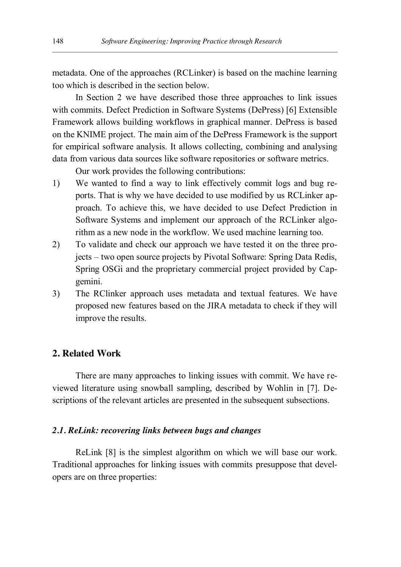metadata. One of the approaches (RCLinker) is based on the machine learning too which is described in the section below.

In Section 2 we have described those three approaches to link issues with commits. Defect Prediction in Software Systems (DePress) [6] Extensible Framework allows building workflows in graphical manner. DePress is based on the KNIME project. The main aim of the DePress Framework is the support for empirical software analysis. It allows collecting, combining and analysing data from various data sources like software repositories or software metrics.

Our work provides the following contributions:

- 1) We wanted to find a way to link effectively commit logs and bug reports. That is why we have decided to use modified by us RCLinker approach. To achieve this, we have decided to use Defect Prediction in Software Systems and implement our approach of the RCLinker algorithm as a new node in the workflow. We used machine learning too.
- 2) To validate and check our approach we have tested it on the three projects – two open source projects by Pivotal Software: Spring Data Redis, Spring OSGi and the proprietary commercial project provided by Capgemini.
- 3) The RClinker approach uses metadata and textual features. We have proposed new features based on the JIRA metadata to check if they will improve the results.

## **2. Related Work**

There are many approaches to linking issues with commit. We have reviewed literature using snowball sampling, described by Wohlin in [7]. Descriptions of the relevant articles are presented in the subsequent subsections.

## *2.1. ReLink: recovering links between bugs and changes*

ReLink [8] is the simplest algorithm on which we will base our work. Traditional approaches for linking issues with commits presuppose that developers are on three properties: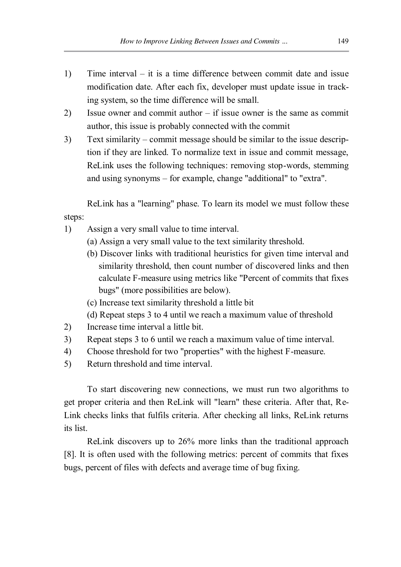- 1) Time interval it is a time difference between commit date and issue modification date. After each fix, developer must update issue in tracking system, so the time difference will be small.
- 2) Issue owner and commit author if issue owner is the same as commit author, this issue is probably connected with the commit
- 3) Text similarity commit message should be similar to the issue description if they are linked. To normalize text in issue and commit message, ReLink uses the following techniques: removing stop-words, stemming and using synonyms – for example, change "additional" to "extra".

ReLink has a "learning" phase. To learn its model we must follow these steps:

- 1) Assign a very small value to time interval.
	- (a) Assign a very small value to the text similarity threshold.
	- (b) Discover links with traditional heuristics for given time interval and similarity threshold, then count number of discovered links and then calculate F-measure using metrics like "Percent of commits that fixes bugs" (more possibilities are below).
	- (c) Increase text similarity threshold a little bit
	- (d) Repeat steps 3 to 4 until we reach a maximum value of threshold
- 2) Increase time interval a little bit.
- 3) Repeat steps 3 to 6 until we reach a maximum value of time interval.
- 4) Choose threshold for two "properties" with the highest F-measure.
- 5) Return threshold and time interval.

To start discovering new connections, we must run two algorithms to get proper criteria and then ReLink will "learn" these criteria. After that, Re-Link checks links that fulfils criteria. After checking all links, ReLink returns its list.

ReLink discovers up to 26% more links than the traditional approach [8]. It is often used with the following metrics: percent of commits that fixes bugs, percent of files with defects and average time of bug fixing.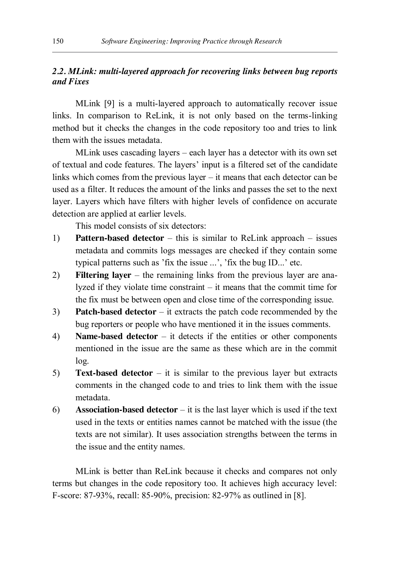## *2.2. MLink: multi-layered approach for recovering links between bug reports and Fixes*

MLink [9] is a multi-layered approach to automatically recover issue links. In comparison to ReLink, it is not only based on the terms-linking method but it checks the changes in the code repository too and tries to link them with the issues metadata.

MLink uses cascading layers – each layer has a detector with its own set of textual and code features. The layers' input is a filtered set of the candidate links which comes from the previous layer – it means that each detector can be used as a filter. It reduces the amount of the links and passes the set to the next layer. Layers which have filters with higher levels of confidence on accurate detection are applied at earlier levels.

This model consists of six detectors:

- 1) **Pattern-based detector** this is similar to ReLink approach issues metadata and commits logs messages are checked if they contain some typical patterns such as 'fix the issue ...', 'fix the bug ID...' etc.
- 2) **Filtering layer** the remaining links from the previous layer are analyzed if they violate time constraint – it means that the commit time for the fix must be between open and close time of the corresponding issue.
- 3) **Patch-based detector** it extracts the patch code recommended by the bug reporters or people who have mentioned it in the issues comments.
- 4) **Name-based detector** it detects if the entities or other components mentioned in the issue are the same as these which are in the commit log.
- 5) **Text-based detector** it is similar to the previous layer but extracts comments in the changed code to and tries to link them with the issue metadata.
- 6) **Association-based detector** it is the last layer which is used if the text used in the texts or entities names cannot be matched with the issue (the texts are not similar). It uses association strengths between the terms in the issue and the entity names.

MLink is better than ReLink because it checks and compares not only terms but changes in the code repository too. It achieves high accuracy level: F-score: 87-93%, recall: 85-90%, precision: 82-97% as outlined in [8].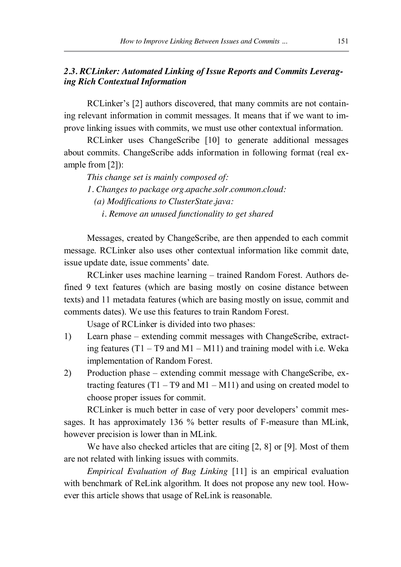## *2.3. RCLinker: Automated Linking of Issue Reports and Commits Leveraging Rich Contextual Information*

RCLinker's [2] authors discovered, that many commits are not containing relevant information in commit messages. It means that if we want to improve linking issues with commits, we must use other contextual information.

RCLinker uses ChangeScribe [10] to generate additional messages about commits. ChangeScribe adds information in following format (real example from [2]):

*This change set is mainly composed of:*

*1. Changes to package org.apache.solr.common.cloud:*

*(a) Modifications to ClusterState.java:*

*i. Remove an unused functionality to get shared*

Messages, created by ChangeScribe, are then appended to each commit message. RCLinker also uses other contextual information like commit date, issue update date, issue comments' date.

RCLinker uses machine learning – trained Random Forest. Authors defined 9 text features (which are basing mostly on cosine distance between texts) and 11 metadata features (which are basing mostly on issue, commit and comments dates). We use this features to train Random Forest.

Usage of RCLinker is divided into two phases:

- 1) Learn phase extending commit messages with ChangeScribe, extracting features  $(T1 - T9$  and  $M1 - M11$ ) and training model with i.e. Weka implementation of Random Forest.
- 2) Production phase extending commit message with ChangeScribe, extracting features  $(T1 - T9$  and  $M1 - M11$ ) and using on created model to choose proper issues for commit.

RCLinker is much better in case of very poor developers' commit messages. It has approximately 136 % better results of F-measure than MLink, however precision is lower than in MLink.

We have also checked articles that are citing [2, 8] or [9]. Most of them are not related with linking issues with commits.

*Empirical Evaluation of Bug Linking* [11] is an empirical evaluation with benchmark of ReLink algorithm. It does not propose any new tool. However this article shows that usage of ReLink is reasonable.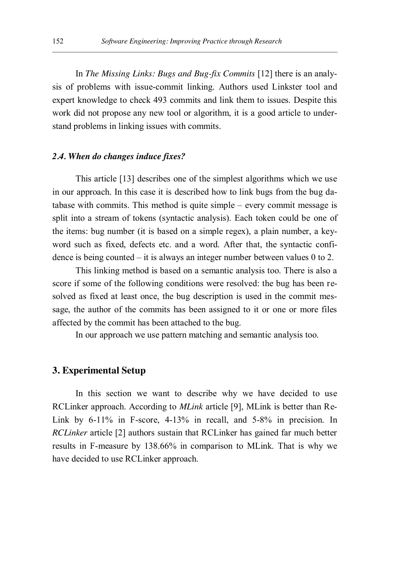In *The Missing Links: Bugs and Bug-fix Commits* [12] there is an analysis of problems with issue-commit linking. Authors used Linkster tool and expert knowledge to check 493 commits and link them to issues. Despite this work did not propose any new tool or algorithm, it is a good article to understand problems in linking issues with commits.

#### *2.4. When do changes induce fixes?*

This article [13] describes one of the simplest algorithms which we use in our approach. In this case it is described how to link bugs from the bug database with commits. This method is quite simple – every commit message is split into a stream of tokens (syntactic analysis). Each token could be one of the items: bug number (it is based on a simple regex), a plain number, a keyword such as fixed, defects etc. and a word. After that, the syntactic confidence is being counted – it is always an integer number between values 0 to 2.

This linking method is based on a semantic analysis too. There is also a score if some of the following conditions were resolved: the bug has been resolved as fixed at least once, the bug description is used in the commit message, the author of the commits has been assigned to it or one or more files affected by the commit has been attached to the bug.

In our approach we use pattern matching and semantic analysis too.

## **3. Experimental Setup**

In this section we want to describe why we have decided to use RCLinker approach. According to *MLink* article [9], MLink is better than Re-Link by 6-11% in F-score, 4-13% in recall, and 5-8% in precision. In *RCLinker* article [2] authors sustain that RCLinker has gained far much better results in F-measure by 138.66% in comparison to MLink. That is why we have decided to use RCLinker approach.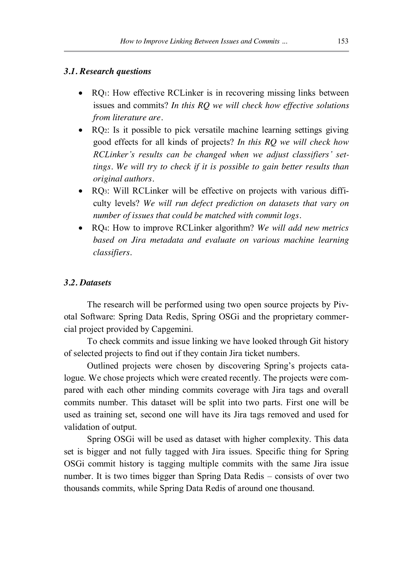#### *3.1. Research questions*

- RQ<sub>1</sub>: How effective RCLinker is in recovering missing links between issues and commits? *In this RQ we will check how effective solutions from literature are.*
- RQ2: Is it possible to pick versatile machine learning settings giving good effects for all kinds of projects? *In this RQ we will check how RCLinker's results can be changed when we adjust classifiers' settings. We will try to check if it is possible to gain better results than original authors.*
- RQ3: Will RCLinker will be effective on projects with various difficulty levels? *We will run defect prediction on datasets that vary on number of issues that could be matched with commit logs.*
- x RQ4: How to improve RCLinker algorithm? *We will add new metrics based on Jira metadata and evaluate on various machine learning classifiers.*

#### *3.2. Datasets*

The research will be performed using two open source projects by Pivotal Software: Spring Data Redis, Spring OSGi and the proprietary commercial project provided by Capgemini.

To check commits and issue linking we have looked through Git history of selected projects to find out if they contain Jira ticket numbers.

Outlined projects were chosen by discovering Spring's projects catalogue. We chose projects which were created recently. The projects were compared with each other minding commits coverage with Jira tags and overall commits number. This dataset will be split into two parts. First one will be used as training set, second one will have its Jira tags removed and used for validation of output.

Spring OSGi will be used as dataset with higher complexity. This data set is bigger and not fully tagged with Jira issues. Specific thing for Spring OSGi commit history is tagging multiple commits with the same Jira issue number. It is two times bigger than Spring Data Redis – consists of over two thousands commits, while Spring Data Redis of around one thousand.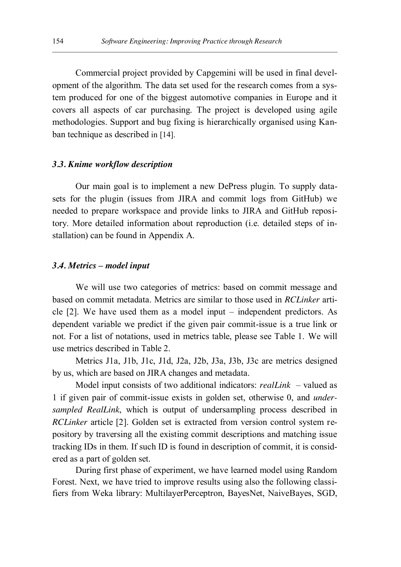Commercial project provided by Capgemini will be used in final development of the algorithm. The data set used for the research comes from a system produced for one of the biggest automotive companies in Europe and it covers all aspects of car purchasing. The project is developed using agile methodologies. Support and bug fixing is hierarchically organised using Kanban technique as described in [14].

#### *3.3. Knime workflow description*

Our main goal is to implement a new DePress plugin. To supply datasets for the plugin (issues from JIRA and commit logs from GitHub) we needed to prepare workspace and provide links to JIRA and GitHub repository. More detailed information about reproduction (i.e. detailed steps of installation) can be found in Appendix A.

#### *3.4. Metrics – model input*

We will use two categories of metrics: based on commit message and based on commit metadata. Metrics are similar to those used in *RCLinker* article [2]. We have used them as a model input – independent predictors. As dependent variable we predict if the given pair commit-issue is a true link or not. For a list of notations, used in metrics table, please see Table 1. We will use metrics described in Table 2.

Metrics J1a, J1b, J1c, J1d, J2a, J2b, J3a, J3b, J3c are metrics designed by us, which are based on JIRA changes and metadata.

Model input consists of two additional indicators: *realLink* – valued as 1 if given pair of commit-issue exists in golden set, otherwise 0, and *undersampled RealLink*, which is output of undersampling process described in *RCLinker* article [2]. Golden set is extracted from version control system repository by traversing all the existing commit descriptions and matching issue tracking IDs in them. If such ID is found in description of commit, it is considered as a part of golden set.

During first phase of experiment, we have learned model using Random Forest. Next, we have tried to improve results using also the following classifiers from Weka library: MultilayerPerceptron, BayesNet, NaiveBayes, SGD,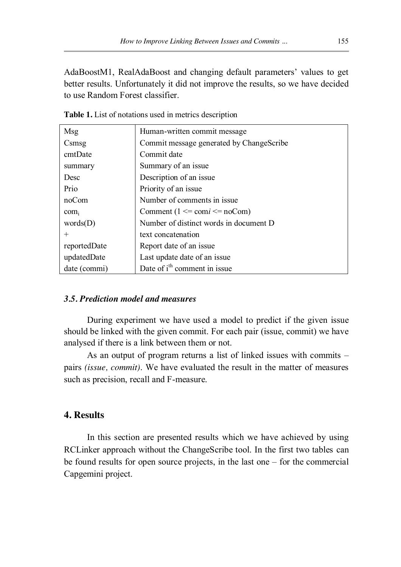AdaBoostM1, RealAdaBoost and changing default parameters' values to get better results. Unfortunately it did not improve the results, so we have decided to use Random Forest classifier.

| Msg          | Human-written commit message                    |
|--------------|-------------------------------------------------|
| Csmsg        | Commit message generated by ChangeScribe        |
| cmtDate      | Commit date                                     |
| summary      | Summary of an issue                             |
| Desc         | Description of an issue                         |
| Prio         | Priority of an issue                            |
| noCom        | Number of comments in issue.                    |
| $com_i$      | Comment $(1 \le \text{com} i \le \text{noCom})$ |
| words(D)     | Number of distinct words in document D          |
| $^{+}$       | text concatenation                              |
| reportedDate | Report date of an issue                         |
| updatedDate  | Last update date of an issue                    |
| date (commi) | Date of i <sup>th</sup> comment in issue        |

**Table 1.** List of notations used in metrics description

## *3.5. Prediction model and measures*

During experiment we have used a model to predict if the given issue should be linked with the given commit. For each pair (issue, commit) we have analysed if there is a link between them or not.

As an output of program returns a list of linked issues with commits – pairs *(issue, commit)*. We have evaluated the result in the matter of measures such as precision, recall and F-measure.

## **4. Results**

In this section are presented results which we have achieved by using RCLinker approach without the ChangeScribe tool. In the first two tables can be found results for open source projects, in the last one – for the commercial Capgemini project.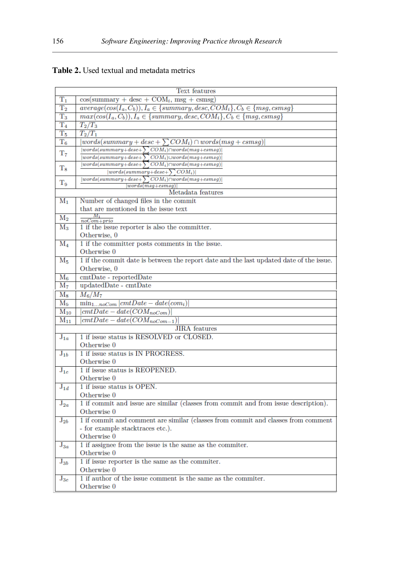| Table 2. Used textual and metadata metrics |
|--------------------------------------------|
|                                            |

|                | Text features                                                                                 |  |  |  |
|----------------|-----------------------------------------------------------------------------------------------|--|--|--|
| $\rm T_1$      | $cos(summary + desc + COMi, msg + csmsg)$                                                     |  |  |  |
| $T_{2}$        | $average(cos(I_a, C_b)), I_a \in \{summary, desc, COM_i\}, C_b \in \{msg, csmsg\}$            |  |  |  |
| $T_3$          | $max(cos(I_a, C_b)), I_a \in \{summary, desc, COM_i\}, C_b \in \{msg, csmsg\}$                |  |  |  |
| T <sub>4</sub> | $T_2/T_3$                                                                                     |  |  |  |
| $T_5$          | $T_2/T_1$                                                                                     |  |  |  |
| $\mathrm{T}_6$ | $words(summary + desc + \sum COM_i) \cap words(msg + csmsg)$                                  |  |  |  |
| $T_7$          | $ words(summary+desc+\sum COM_i)\cap words(msg+csmsg) $                                       |  |  |  |
|                | $ words(summary+desc+\sum COM_i) \cup words(msg+csmsg) $                                      |  |  |  |
| $\rm T_{8}$    | $[words(summary+desc+\sum COM_i)\cap words(msg+csmsg)]$                                       |  |  |  |
|                | $ words(summary+desc+\sum COM_i) $<br>$ words(summary+desc+\sum COM_i)\cap words(msg+csmsg) $ |  |  |  |
| $T_9$          | $words(msg+esmsg)$                                                                            |  |  |  |
|                | Metadata features                                                                             |  |  |  |
| $\mathrm{M}_1$ | Number of changed files in the commit                                                         |  |  |  |
|                | that are mentioned in the issue text                                                          |  |  |  |
| $M_2$          | М,<br>$noCom+prio$                                                                            |  |  |  |
| $\rm M_3$      | 1 if the issue reporter is also the committer.                                                |  |  |  |
|                | Otherwise, 0                                                                                  |  |  |  |
| $\rm M_4$      | 1 if the committer posts comments in the issue.                                               |  |  |  |
|                | Otherwise 0                                                                                   |  |  |  |
| $\rm M_5$      | 1 if the commit date is between the report date and the last updated date of the issue.       |  |  |  |
|                | Otherwise, 0                                                                                  |  |  |  |
| $\rm M_6$      | cmtDate - reportedDate                                                                        |  |  |  |
| $M_7$          | updatedDate - cmtDate                                                                         |  |  |  |
| $\rm M_{8}$    | $M_6/M_7$                                                                                     |  |  |  |
| $\rm M_9$      | $\min_{1noCom}  cmtDate - date(com_i) $                                                       |  |  |  |
| $M_{10}$       | $\vert cmtDate - date(COM_{noCom})\vert$                                                      |  |  |  |
| $M_{11}$       | $cmtDate - date(COM_{noCom-1})$                                                               |  |  |  |
|                | <b>JIRA</b> features                                                                          |  |  |  |
| $J_{1a}$       | 1 if issue status is RESOLVED or CLOSED.                                                      |  |  |  |
|                | Otherwise 0                                                                                   |  |  |  |
| $J_{1b}$       | 1 if issue status is IN PROGRESS.                                                             |  |  |  |
|                | Otherwise 0                                                                                   |  |  |  |
| $J_{1c}$       | 1 if issue status is REOPENED.                                                                |  |  |  |
|                | Otherwise 0                                                                                   |  |  |  |
| $J_{1d}$       | 1 if issue status is OPEN.                                                                    |  |  |  |
|                | Otherwise 0                                                                                   |  |  |  |
| $J_{2a}$       | 1 if commit and issue are similar (classes from commit and from issue description).           |  |  |  |
|                | Otherwise 0                                                                                   |  |  |  |
| ${\rm J}_{2b}$ | 1 if commit and comment are similar (classes from commit and classes from comment             |  |  |  |
|                | - for example stacktraces etc.).                                                              |  |  |  |
|                | Otherwise 0                                                                                   |  |  |  |
| $J_{3a}$       | 1 if assignee from the issue is the same as the commiter.                                     |  |  |  |
|                | Otherwise 0                                                                                   |  |  |  |
| ${\rm J}_{3b}$ | 1 if issue reporter is the same as the commiter.                                              |  |  |  |
|                | Otherwise 0                                                                                   |  |  |  |
| $J_{3c}$       | 1 if author of the issue comment is the same as the commiter.                                 |  |  |  |
|                | Otherwise 0                                                                                   |  |  |  |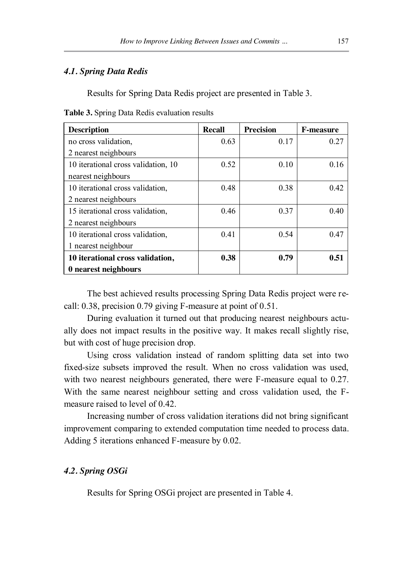#### *4.1. Spring Data Redis*

Results for Spring Data Redis project are presented in Table 3.

**Table 3.** Spring Data Redis evaluation results

| <b>Description</b>                  | <b>Recall</b> | <b>Precision</b> | <b>F-measure</b> |
|-------------------------------------|---------------|------------------|------------------|
| no cross validation,                | 0.63          | 0.17             | 0.27             |
| 2 nearest neighbours                |               |                  |                  |
| 10 iterational cross validation, 10 | 0.52          | 0.10             | 0.16             |
| nearest neighbours                  |               |                  |                  |
| 10 iterational cross validation,    | 0.48          | 0.38             | 0.42             |
| 2 nearest neighbours                |               |                  |                  |
| 15 iterational cross validation,    | 0.46          | 0.37             | 0.40             |
| 2 nearest neighbours                |               |                  |                  |
| 10 iterational cross validation,    | 0.41          | 0.54             | 0.47             |
| 1 nearest neighbour                 |               |                  |                  |
| 10 iterational cross validation,    | 0.38          | 0.79             | 0.51             |
| 0 nearest neighbours                |               |                  |                  |

The best achieved results processing Spring Data Redis project were recall: 0.38, precision 0.79 giving F-measure at point of 0.51.

During evaluation it turned out that producing nearest neighbours actually does not impact results in the positive way. It makes recall slightly rise, but with cost of huge precision drop.

Using cross validation instead of random splitting data set into two fixed-size subsets improved the result. When no cross validation was used, with two nearest neighbours generated, there were F-measure equal to 0.27. With the same nearest neighbour setting and cross validation used, the Fmeasure raised to level of 0.42.

Increasing number of cross validation iterations did not bring significant improvement comparing to extended computation time needed to process data. Adding 5 iterations enhanced F-measure by 0.02.

## *4.2. Spring OSGi*

Results for Spring OSGi project are presented in Table 4.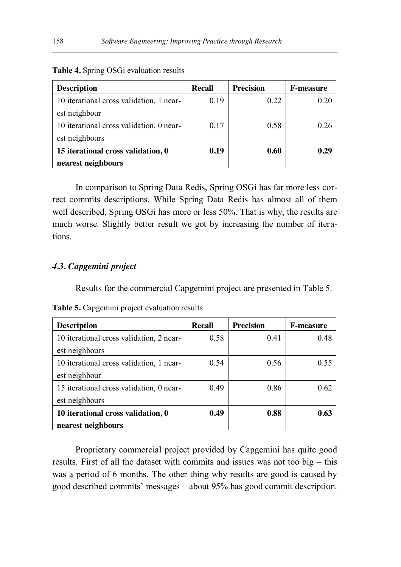| <b>Description</b>                       | Recall | <b>Precision</b> | <b>F-measure</b> |
|------------------------------------------|--------|------------------|------------------|
| 10 iterational cross validation, 1 near- | 0.19   | 0.22             | 0.20             |
| est neighbour                            |        |                  |                  |
| 10 iterational cross validation, 0 near- | 0.17   | 0.58             | () 76            |
| est neighbours                           |        |                  |                  |
| 15 iterational cross validation, 0       | 0.19   | 0.60             | 0.29             |
| nearest neighbours                       |        |                  |                  |

**Table 4.** Spring OSGi evaluation results

In comparison to Spring Data Redis, Spring OSGi has far more less correct commits descriptions. While Spring Data Redis has almost all of them well described, Spring OSGi has more or less 50%. That is why, the results are much worse. Slightly better result we got by increasing the number of iterations.

## *4.3. Capgemini project*

Results for the commercial Capgemini project are presented in Table 5.

| <b>Description</b>                       | Recall | <b>Precision</b> | <b>F-measure</b> |
|------------------------------------------|--------|------------------|------------------|
| 10 iterational cross validation, 2 near- | 0.58   | 0.41             | 0.48             |
| est neighbours                           |        |                  |                  |
| 10 iterational cross validation, 1 near- | 0.54   | 0.56             | 0.55             |
| est neighbour                            |        |                  |                  |
| 15 iterational cross validation, 0 near- | 0.49   | 0.86             | 0.62             |
| est neighbours                           |        |                  |                  |
| 10 iterational cross validation, 0       | 0.49   | 0.88             | 0.63             |
| nearest neighbours                       |        |                  |                  |

**Table 5.** Capgemini project evaluation results

Proprietary commercial project provided by Capgemini has quite good results. First of all the dataset with commits and issues was not too big – this was a period of 6 months. The other thing why results are good is caused by good described commits' messages – about 95% has good commit description.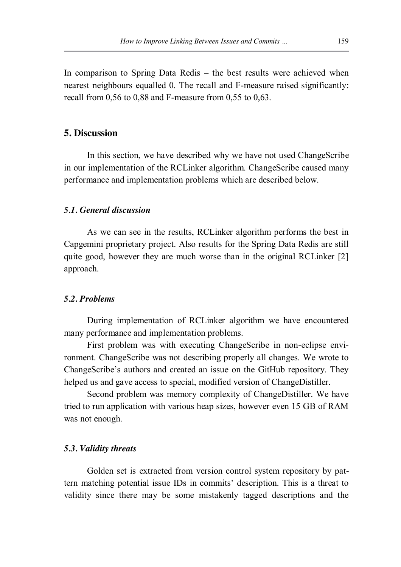In comparison to Spring Data Redis – the best results were achieved when nearest neighbours equalled 0. The recall and F-measure raised significantly: recall from  $0.56$  to  $0.88$  and F-measure from  $0.55$  to  $0.63$ .

## **5. Discussion**

In this section, we have described why we have not used ChangeScribe in our implementation of the RCLinker algorithm. ChangeScribe caused many performance and implementation problems which are described below.

### *5.1. General discussion*

As we can see in the results, RCLinker algorithm performs the best in Capgemini proprietary project. Also results for the Spring Data Redis are still quite good, however they are much worse than in the original RCLinker [2] approach.

#### *5.2. Problems*

During implementation of RCLinker algorithm we have encountered many performance and implementation problems.

First problem was with executing ChangeScribe in non-eclipse environment. ChangeScribe was not describing properly all changes. We wrote to ChangeScribe's authors and created an issue on the GitHub repository. They helped us and gave access to special, modified version of ChangeDistiller.

Second problem was memory complexity of ChangeDistiller. We have tried to run application with various heap sizes, however even 15 GB of RAM was not enough.

#### *5.3. Validity threats*

Golden set is extracted from version control system repository by pattern matching potential issue IDs in commits' description. This is a threat to validity since there may be some mistakenly tagged descriptions and the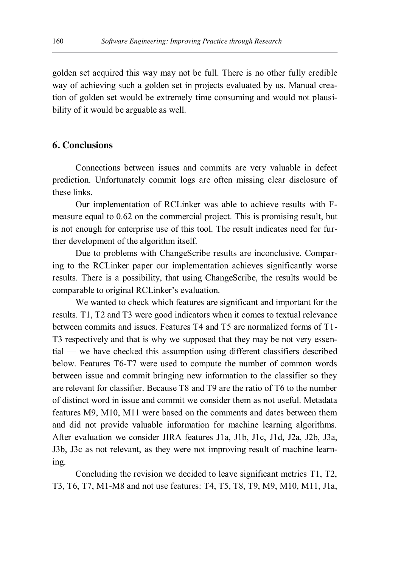golden set acquired this way may not be full. There is no other fully credible way of achieving such a golden set in projects evaluated by us. Manual creation of golden set would be extremely time consuming and would not plausibility of it would be arguable as well.

## **6. Conclusions**

Connections between issues and commits are very valuable in defect prediction. Unfortunately commit logs are often missing clear disclosure of these links.

Our implementation of RCLinker was able to achieve results with Fmeasure equal to 0.62 on the commercial project. This is promising result, but is not enough for enterprise use of this tool. The result indicates need for further development of the algorithm itself.

Due to problems with ChangeScribe results are inconclusive. Comparing to the RCLinker paper our implementation achieves significantly worse results. There is a possibility, that using ChangeScribe, the results would be comparable to original RCLinker's evaluation.

We wanted to check which features are significant and important for the results. T1, T2 and T3 were good indicators when it comes to textual relevance between commits and issues. Features T4 and T5 are normalized forms of T1- T3 respectively and that is why we supposed that they may be not very essential — we have checked this assumption using different classifiers described below. Features T6-T7 were used to compute the number of common words between issue and commit bringing new information to the classifier so they are relevant for classifier. Because T8 and T9 are the ratio of T6 to the number of distinct word in issue and commit we consider them as not useful. Metadata features M9, M10, M11 were based on the comments and dates between them and did not provide valuable information for machine learning algorithms. After evaluation we consider JIRA features J1a, J1b, J1c, J1d, J2a, J2b, J3a, J3b, J3c as not relevant, as they were not improving result of machine learning.

Concluding the revision we decided to leave significant metrics T1, T2, T3, T6, T7, M1-M8 and not use features: T4, T5, T8, T9, M9, M10, M11, J1a,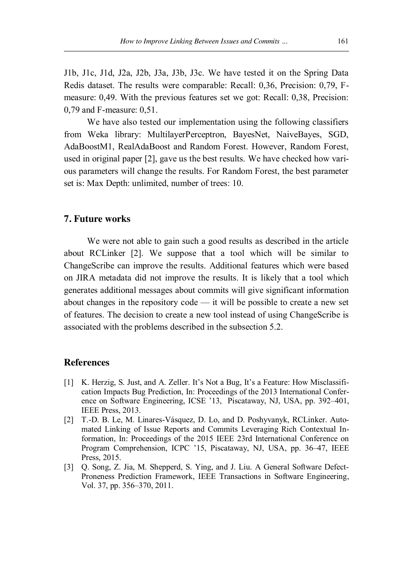J1b, J1c, J1d, J2a, J2b, J3a, J3b, J3c. We have tested it on the Spring Data Redis dataset. The results were comparable: Recall: 0,36, Precision: 0,79, Fmeasure: 0,49. With the previous features set we got: Recall: 0,38, Precision: 0,79 and F-measure: 0,51.

We have also tested our implementation using the following classifiers from Weka library: MultilayerPerceptron, BayesNet, NaiveBayes, SGD, AdaBoostM1, RealAdaBoost and Random Forest. However, Random Forest, used in original paper [2], gave us the best results. We have checked how various parameters will change the results. For Random Forest, the best parameter set is: Max Depth: unlimited, number of trees: 10.

## **7. Future works**

We were not able to gain such a good results as described in the article about RCLinker [2]. We suppose that a tool which will be similar to ChangeScribe can improve the results. Additional features which were based on JIRA metadata did not improve the results. It is likely that a tool which generates additional messages about commits will give significant information about changes in the repository code — it will be possible to create a new set of features. The decision to create a new tool instead of using ChangeScribe is associated with the problems described in the subsection 5.2.

#### **References**

- [1] K. Herzig, S. Just, and A. Zeller. It's Not a Bug, It's a Feature: How Misclassification Impacts Bug Prediction, In: Proceedings of the 2013 International Conference on Software Engineering, ICSE '13, Piscataway, NJ, USA, pp. 392–401, IEEE Press, 2013.
- [2] T.-D. B. Le, M. Linares-Vásquez, D. Lo, and D. Poshyvanyk, RCLinker. Automated Linking of Issue Reports and Commits Leveraging Rich Contextual Information, In: Proceedings of the 2015 IEEE 23rd International Conference on Program Comprehension, ICPC '15, Piscataway, NJ, USA, pp. 36–47, IEEE Press, 2015.
- [3] Q. Song, Z. Jia, M. Shepperd, S. Ying, and J. Liu. A General Software Defect-Proneness Prediction Framework, IEEE Transactions in Software Engineering, Vol. 37, pp. 356–370, 2011.